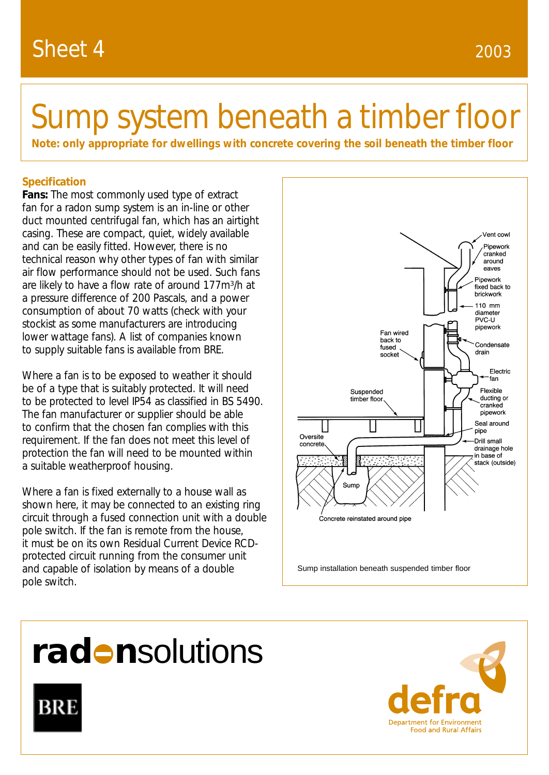# Sump system beneath a timber floor

**Note: only appropriate for dwellings with concrete covering the soil beneath the timber floor**

### **Specification**

**Fans:** The most commonly used type of extract fan for a radon sump system is an in-line or other duct mounted centrifugal fan, which has an airtight casing. These are compact, quiet, widely available and can be easily fitted. However, there is no technical reason why other types of fan with similar air flow performance should not be used. Such fans are likely to have a flow rate of around 177m3/h at a pressure difference of 200 Pascals, and a power consumption of about 70 watts (check with your stockist as some manufacturers are introducing lower wattage fans). A list of companies known to supply suitable fans is available from BRE.

Where a fan is to be exposed to weather it should be of a type that is suitably protected. It will need to be protected to level IP54 as classified in BS 5490. The fan manufacturer or supplier should be able to confirm that the chosen fan complies with this requirement. If the fan does not meet this level of protection the fan will need to be mounted within a suitable weatherproof housing.

Where a fan is fixed externally to a house wall as shown here, it may be connected to an existing ring circuit through a fused connection unit with a double pole switch. If the fan is remote from the house, it must be on its own Residual Current Device RCDprotected circuit running from the consumer unit and capable of isolation by means of a double pole switch.